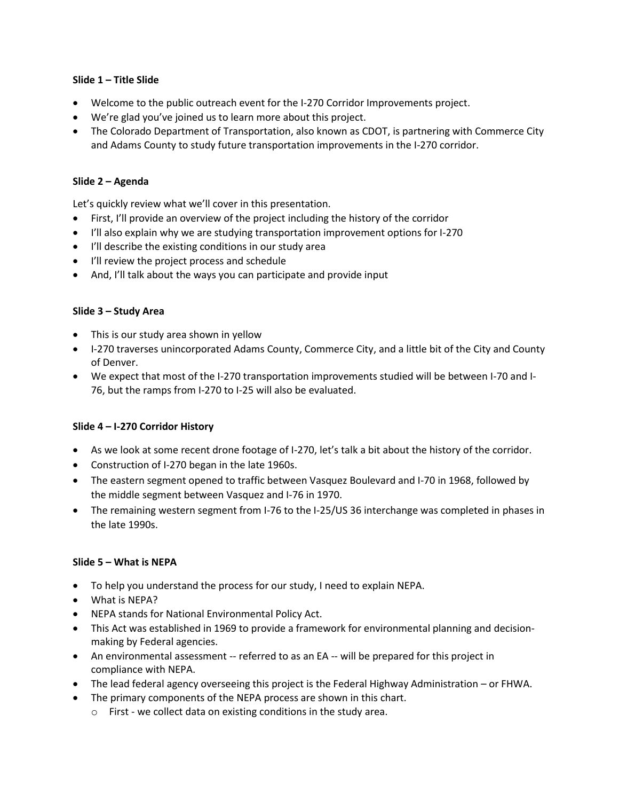#### **Slide 1 – Title Slide**

- Welcome to the public outreach event for the I-270 Corridor Improvements project.
- We're glad you've joined us to learn more about this project.
- The Colorado Department of Transportation, also known as CDOT, is partnering with Commerce City and Adams County to study future transportation improvements in the I-270 corridor.

#### **Slide 2 – Agenda**

Let's quickly review what we'll cover in this presentation.

- First, I'll provide an overview of the project including the history of the corridor
- I'll also explain why we are studying transportation improvement options for I-270
- I'll describe the existing conditions in our study area
- I'll review the project process and schedule
- And, I'll talk about the ways you can participate and provide input

#### **Slide 3 – Study Area**

- This is our study area shown in yellow
- I-270 traverses unincorporated Adams County, Commerce City, and a little bit of the City and County of Denver.
- We expect that most of the I-270 transportation improvements studied will be between I-70 and I-76, but the ramps from I-270 to I-25 will also be evaluated.

#### **Slide 4 – I-270 Corridor History**

- As we look at some recent drone footage of I-270, let's talk a bit about the history of the corridor.
- Construction of I-270 began in the late 1960s.
- The eastern segment opened to traffic between Vasquez Boulevard and I-70 in 1968, followed by the middle segment between Vasquez and I-76 in 1970.
- The remaining western segment from I-76 to the I-25/US 36 interchange was completed in phases in the late 1990s.

#### **Slide 5 – What is NEPA**

- To help you understand the process for our study, I need to explain NEPA.
- What is NEPA?
- NEPA stands for National Environmental Policy Act.
- This Act was established in 1969 to provide a framework for environmental planning and decisionmaking by Federal agencies.
- An environmental assessment -- referred to as an EA -- will be prepared for this project in compliance with NEPA.
- The lead federal agency overseeing this project is the Federal Highway Administration or FHWA.
- The primary components of the NEPA process are shown in this chart.
	- o First we collect data on existing conditions in the study area.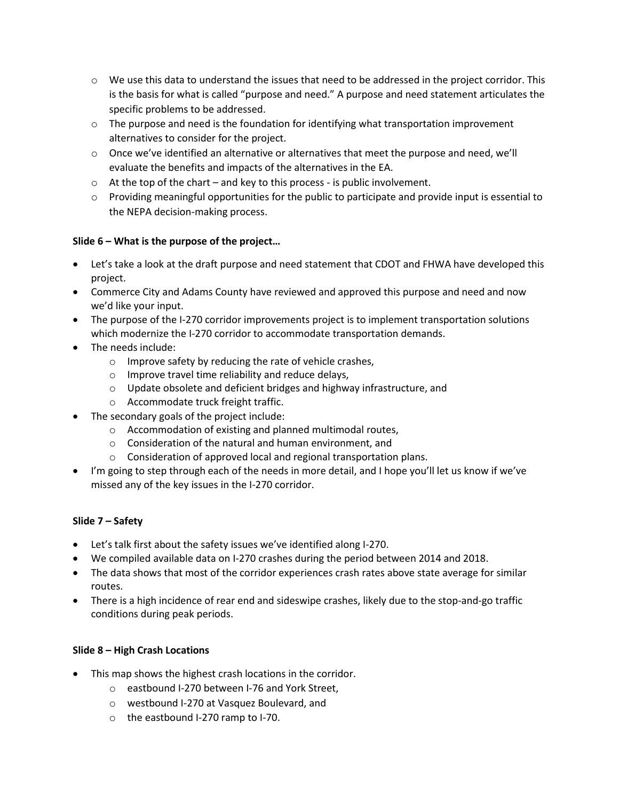- $\circ$  We use this data to understand the issues that need to be addressed in the project corridor. This is the basis for what is called "purpose and need." A purpose and need statement articulates the specific problems to be addressed.
- $\circ$  The purpose and need is the foundation for identifying what transportation improvement alternatives to consider for the project.
- o Once we've identified an alternative or alternatives that meet the purpose and need, we'll evaluate the benefits and impacts of the alternatives in the EA.
- $\circ$  At the top of the chart and key to this process is public involvement.
- $\circ$  Providing meaningful opportunities for the public to participate and provide input is essential to the NEPA decision-making process.

## **Slide 6 – What is the purpose of the project…**

- Let's take a look at the draft purpose and need statement that CDOT and FHWA have developed this project.
- Commerce City and Adams County have reviewed and approved this purpose and need and now we'd like your input.
- The purpose of the I-270 corridor improvements project is to implement transportation solutions which modernize the I-270 corridor to accommodate transportation demands.
- The needs include:
	- o Improve safety by reducing the rate of vehicle crashes,
	- o Improve travel time reliability and reduce delays,
	- o Update obsolete and deficient bridges and highway infrastructure, and
	- o Accommodate truck freight traffic.
- The secondary goals of the project include:
	- o Accommodation of existing and planned multimodal routes,
	- o Consideration of the natural and human environment, and
	- o Consideration of approved local and regional transportation plans.
- I'm going to step through each of the needs in more detail, and I hope you'll let us know if we've missed any of the key issues in the I-270 corridor.

## **Slide 7 – Safety**

- Let's talk first about the safety issues we've identified along I-270.
- We compiled available data on I-270 crashes during the period between 2014 and 2018.
- The data shows that most of the corridor experiences crash rates above state average for similar routes.
- There is a high incidence of rear end and sideswipe crashes, likely due to the stop-and-go traffic conditions during peak periods.

## **Slide 8 – High Crash Locations**

- This map shows the highest crash locations in the corridor.
	- o eastbound I-270 between I-76 and York Street,
	- o westbound I-270 at Vasquez Boulevard, and
	- o the eastbound I-270 ramp to I-70.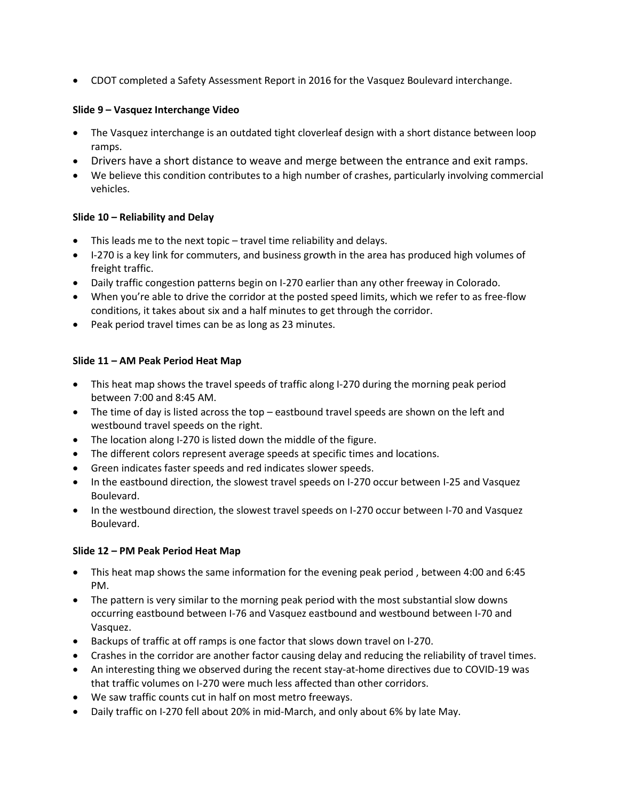• CDOT completed a Safety Assessment Report in 2016 for the Vasquez Boulevard interchange.

### **Slide 9 – Vasquez Interchange Video**

- The Vasquez interchange is an outdated tight cloverleaf design with a short distance between loop ramps.
- Drivers have a short distance to weave and merge between the entrance and exit ramps.
- We believe this condition contributes to a high number of crashes, particularly involving commercial vehicles.

## **Slide 10 – Reliability and Delay**

- This leads me to the next topic travel time reliability and delays.
- I-270 is a key link for commuters, and business growth in the area has produced high volumes of freight traffic.
- Daily traffic congestion patterns begin on I-270 earlier than any other freeway in Colorado.
- When you're able to drive the corridor at the posted speed limits, which we refer to as free-flow conditions, it takes about six and a half minutes to get through the corridor.
- Peak period travel times can be as long as 23 minutes.

## **Slide 11 – AM Peak Period Heat Map**

- This heat map shows the travel speeds of traffic along I-270 during the morning peak period between 7:00 and 8:45 AM.
- The time of day is listed across the top eastbound travel speeds are shown on the left and westbound travel speeds on the right.
- The location along I-270 is listed down the middle of the figure.
- The different colors represent average speeds at specific times and locations.
- Green indicates faster speeds and red indicates slower speeds.
- In the eastbound direction, the slowest travel speeds on I-270 occur between I-25 and Vasquez Boulevard.
- In the westbound direction, the slowest travel speeds on I-270 occur between I-70 and Vasquez Boulevard.

## **Slide 12 – PM Peak Period Heat Map**

- This heat map shows the same information for the evening peak period , between 4:00 and 6:45 PM.
- The pattern is very similar to the morning peak period with the most substantial slow downs occurring eastbound between I-76 and Vasquez eastbound and westbound between I-70 and Vasquez.
- Backups of traffic at off ramps is one factor that slows down travel on I-270.
- Crashes in the corridor are another factor causing delay and reducing the reliability of travel times.
- An interesting thing we observed during the recent stay-at-home directives due to COVID-19 was that traffic volumes on I-270 were much less affected than other corridors.
- We saw traffic counts cut in half on most metro freeways.
- Daily traffic on I-270 fell about 20% in mid-March, and only about 6% by late May.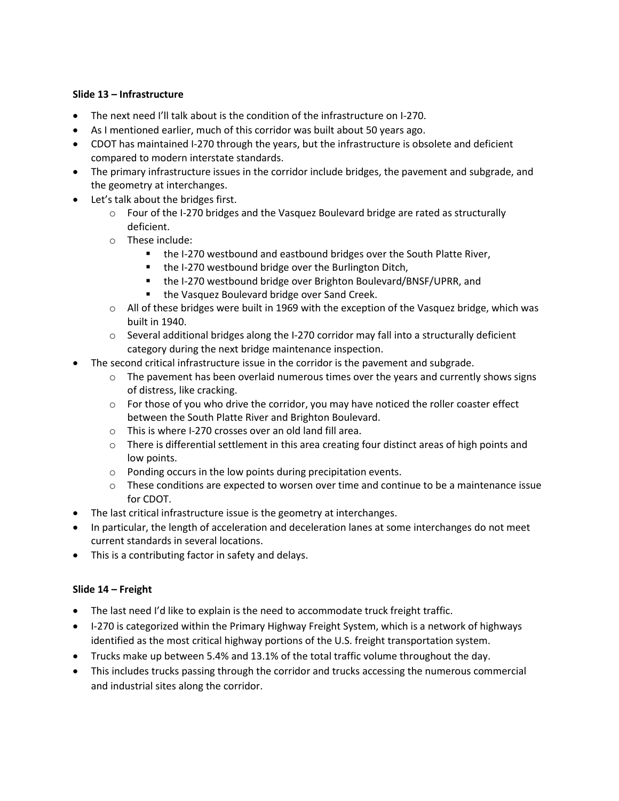### **Slide 13 – Infrastructure**

- The next need I'll talk about is the condition of the infrastructure on I-270.
- As I mentioned earlier, much of this corridor was built about 50 years ago.
- CDOT has maintained I-270 through the years, but the infrastructure is obsolete and deficient compared to modern interstate standards.
- The primary infrastructure issues in the corridor include bridges, the pavement and subgrade, and the geometry at interchanges.
- Let's talk about the bridges first.
	- $\circ$  Four of the I-270 bridges and the Vasquez Boulevard bridge are rated as structurally deficient.
	- o These include:
		- the I-270 westbound and eastbound bridges over the South Platte River,
		- the I-270 westbound bridge over the Burlington Ditch,
		- the I-270 westbound bridge over Brighton Boulevard/BNSF/UPRR, and
		- the Vasquez Boulevard bridge over Sand Creek.
	- $\circ$  All of these bridges were built in 1969 with the exception of the Vasquez bridge, which was built in 1940.
	- $\circ$  Several additional bridges along the I-270 corridor may fall into a structurally deficient category during the next bridge maintenance inspection.
- The second critical infrastructure issue in the corridor is the pavement and subgrade.
	- $\circ$  The pavement has been overlaid numerous times over the years and currently shows signs of distress, like cracking.
	- $\circ$  For those of you who drive the corridor, you may have noticed the roller coaster effect between the South Platte River and Brighton Boulevard.
	- o This is where I-270 crosses over an old land fill area.
	- $\circ$  There is differential settlement in this area creating four distinct areas of high points and low points.
	- o Ponding occurs in the low points during precipitation events.
	- $\circ$  These conditions are expected to worsen over time and continue to be a maintenance issue for CDOT.
- The last critical infrastructure issue is the geometry at interchanges.
- In particular, the length of acceleration and deceleration lanes at some interchanges do not meet current standards in several locations.
- This is a contributing factor in safety and delays.

#### **Slide 14 – Freight**

- The last need I'd like to explain is the need to accommodate truck freight traffic.
- I-270 is categorized within the Primary Highway Freight System, which is a network of highways identified as the most critical highway portions of the U.S. freight transportation system.
- Trucks make up between 5.4% and 13.1% of the total traffic volume throughout the day.
- This includes trucks passing through the corridor and trucks accessing the numerous commercial and industrial sites along the corridor.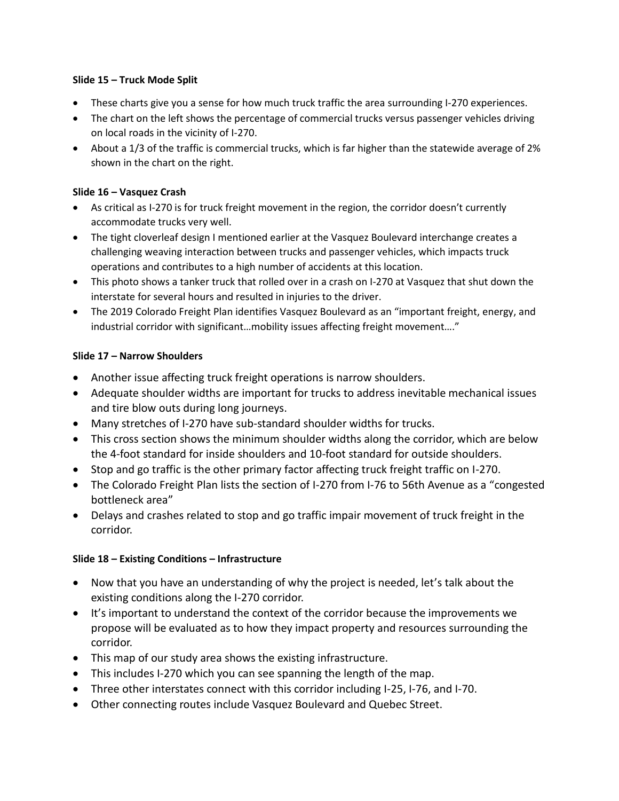## **Slide 15 – Truck Mode Split**

- These charts give you a sense for how much truck traffic the area surrounding I-270 experiences.
- The chart on the left shows the percentage of commercial trucks versus passenger vehicles driving on local roads in the vicinity of I-270.
- About a 1/3 of the traffic is commercial trucks, which is far higher than the statewide average of 2% shown in the chart on the right.

### **Slide 16 – Vasquez Crash**

- As critical as I-270 is for truck freight movement in the region, the corridor doesn't currently accommodate trucks very well.
- The tight cloverleaf design I mentioned earlier at the Vasquez Boulevard interchange creates a challenging weaving interaction between trucks and passenger vehicles, which impacts truck operations and contributes to a high number of accidents at this location.
- This photo shows a tanker truck that rolled over in a crash on I-270 at Vasquez that shut down the interstate for several hours and resulted in injuries to the driver.
- The 2019 Colorado Freight Plan identifies Vasquez Boulevard as an "important freight, energy, and industrial corridor with significant...mobility issues affecting freight movement...."

## **Slide 17 – Narrow Shoulders**

- Another issue affecting truck freight operations is narrow shoulders.
- Adequate shoulder widths are important for trucks to address inevitable mechanical issues and tire blow outs during long journeys.
- Many stretches of I-270 have sub-standard shoulder widths for trucks.
- This cross section shows the minimum shoulder widths along the corridor, which are below the 4-foot standard for inside shoulders and 10-foot standard for outside shoulders.
- Stop and go traffic is the other primary factor affecting truck freight traffic on I-270.
- The Colorado Freight Plan lists the section of I-270 from I-76 to 56th Avenue as a "congested bottleneck area"
- Delays and crashes related to stop and go traffic impair movement of truck freight in the corridor.

## **Slide 18 – Existing Conditions – Infrastructure**

- Now that you have an understanding of why the project is needed, let's talk about the existing conditions along the I-270 corridor.
- It's important to understand the context of the corridor because the improvements we propose will be evaluated as to how they impact property and resources surrounding the corridor.
- This map of our study area shows the existing infrastructure.
- This includes I-270 which you can see spanning the length of the map.
- Three other interstates connect with this corridor including I-25, I-76, and I-70.
- Other connecting routes include Vasquez Boulevard and Quebec Street.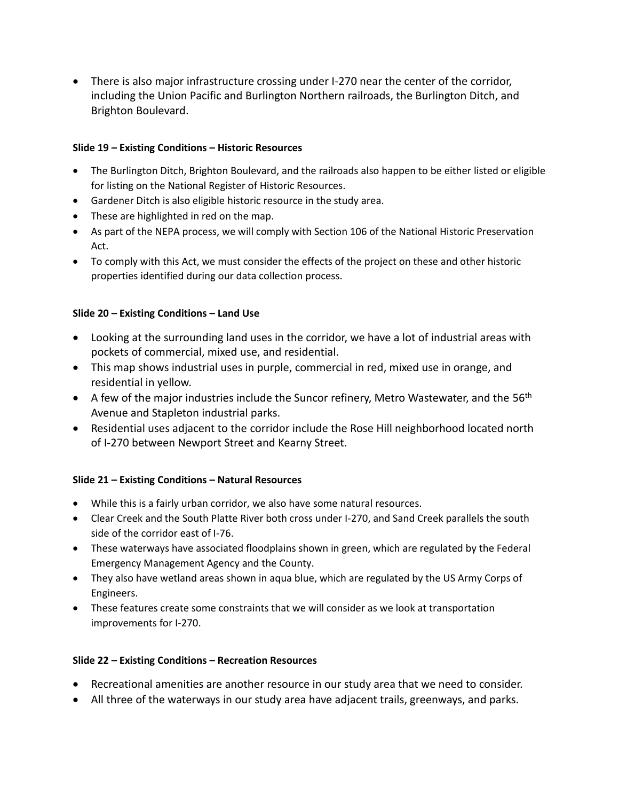• There is also major infrastructure crossing under I-270 near the center of the corridor, including the Union Pacific and Burlington Northern railroads, the Burlington Ditch, and Brighton Boulevard.

### **Slide 19 – Existing Conditions – Historic Resources**

- The Burlington Ditch, Brighton Boulevard, and the railroads also happen to be either listed or eligible for listing on the National Register of Historic Resources.
- Gardener Ditch is also eligible historic resource in the study area.
- These are highlighted in red on the map.
- As part of the NEPA process, we will comply with Section 106 of the National Historic Preservation Act.
- To comply with this Act, we must consider the effects of the project on these and other historic properties identified during our data collection process.

### **Slide 20 – Existing Conditions – Land Use**

- Looking at the surrounding land uses in the corridor, we have a lot of industrial areas with pockets of commercial, mixed use, and residential.
- This map shows industrial uses in purple, commercial in red, mixed use in orange, and residential in yellow.
- A few of the major industries include the Suncor refinery, Metro Wastewater, and the  $56<sup>th</sup>$ Avenue and Stapleton industrial parks.
- Residential uses adjacent to the corridor include the Rose Hill neighborhood located north of I-270 between Newport Street and Kearny Street.

## **Slide 21 – Existing Conditions – Natural Resources**

- While this is a fairly urban corridor, we also have some natural resources.
- Clear Creek and the South Platte River both cross under I-270, and Sand Creek parallels the south side of the corridor east of I-76.
- These waterways have associated floodplains shown in green, which are regulated by the Federal Emergency Management Agency and the County.
- They also have wetland areas shown in aqua blue, which are regulated by the US Army Corps of Engineers.
- These features create some constraints that we will consider as we look at transportation improvements for I-270.

#### **Slide 22 – Existing Conditions – Recreation Resources**

- Recreational amenities are another resource in our study area that we need to consider.
- All three of the waterways in our study area have adjacent trails, greenways, and parks.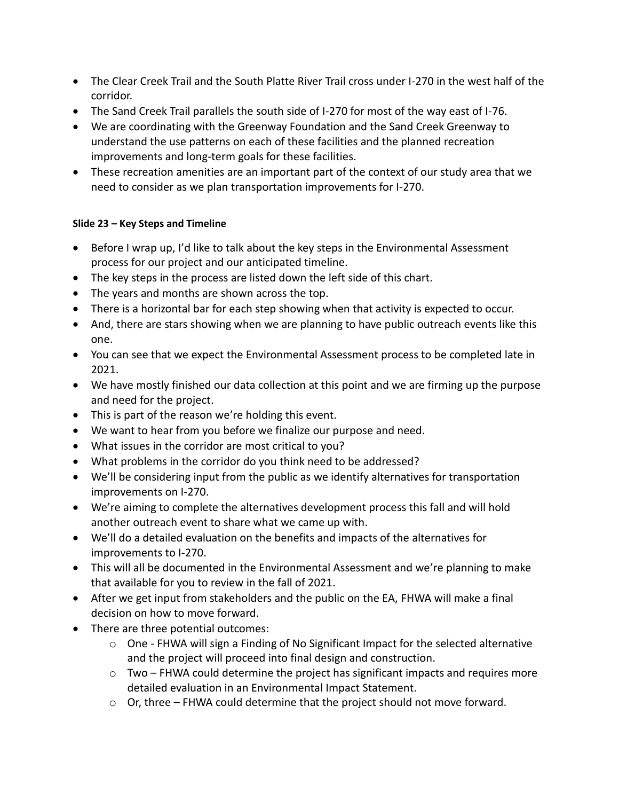- The Clear Creek Trail and the South Platte River Trail cross under I-270 in the west half of the corridor.
- The Sand Creek Trail parallels the south side of I-270 for most of the way east of I-76.
- We are coordinating with the Greenway Foundation and the Sand Creek Greenway to understand the use patterns on each of these facilities and the planned recreation improvements and long-term goals for these facilities.
- These recreation amenities are an important part of the context of our study area that we need to consider as we plan transportation improvements for I-270.

# **Slide 23 – Key Steps and Timeline**

- Before I wrap up, I'd like to talk about the key steps in the Environmental Assessment process for our project and our anticipated timeline.
- The key steps in the process are listed down the left side of this chart.
- The years and months are shown across the top.
- There is a horizontal bar for each step showing when that activity is expected to occur.
- And, there are stars showing when we are planning to have public outreach events like this one.
- You can see that we expect the Environmental Assessment process to be completed late in 2021.
- We have mostly finished our data collection at this point and we are firming up the purpose and need for the project.
- This is part of the reason we're holding this event.
- We want to hear from you before we finalize our purpose and need.
- What issues in the corridor are most critical to you?
- What problems in the corridor do you think need to be addressed?
- We'll be considering input from the public as we identify alternatives for transportation improvements on I-270.
- We're aiming to complete the alternatives development process this fall and will hold another outreach event to share what we came up with.
- We'll do a detailed evaluation on the benefits and impacts of the alternatives for improvements to I-270.
- This will all be documented in the Environmental Assessment and we're planning to make that available for you to review in the fall of 2021.
- After we get input from stakeholders and the public on the EA, FHWA will make a final decision on how to move forward.
- There are three potential outcomes:
	- $\circ$  One FHWA will sign a Finding of No Significant Impact for the selected alternative and the project will proceed into final design and construction.
	- o Two FHWA could determine the project has significant impacts and requires more detailed evaluation in an Environmental Impact Statement.
	- $\circ$  Or, three FHWA could determine that the project should not move forward.